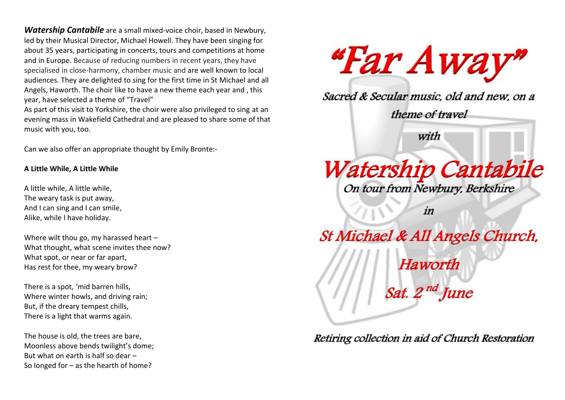*Watership Cantabile* are a small mixed-voice choir, based in Newbury, led by their Musical Director, Michael Howell. They have been singing for about 35 years, participating in concerts, tours and competitions at home and in Europe. Because of reducing numbers in recent years, they have specialised in close-harmony, chamber music and are well known to local audiences. They are delighted to sing for the first time in St Michael and all Angels, Haworth. The choir like to have a new theme each year and , this year, have selected a theme of "Travel"

As part of this visit to Yorkshire, the choir were also privileged to sing at an evening mass in Wakefield Cathedral and are pleased to share some of that music with you, too.

Can we also offer an appropriate thought by Emily Bronte:-

## **A Little While, A Little While**

A little while, A little while, The weary task is put away, And I can sing and I can smile, Alike, while I have holiday.

Where wilt thou go, my harassed heart – What thought, what scene invites thee now? What spot, or near or far apart, Has rest for thee, my weary brow?

There is a spot, 'mid barren hills, Where winter howls, and driving rain; But, if the dreary tempest chills, There is a light that warms again.

The house is old, the trees are bare, Moonless above bends twilight's dome; But what on earth is half so dear – So longed for – as the hearth of home?



Sacred & Secular music, old and new, on a

theme of travel

with

## **Watership Cantabile** On tour from Newbury, Berkshire

in

St Michael & All Angels Church, **Haworth** Sat. 2<sup>nd</sup> June

Retiring collection in aid of Church Restoration